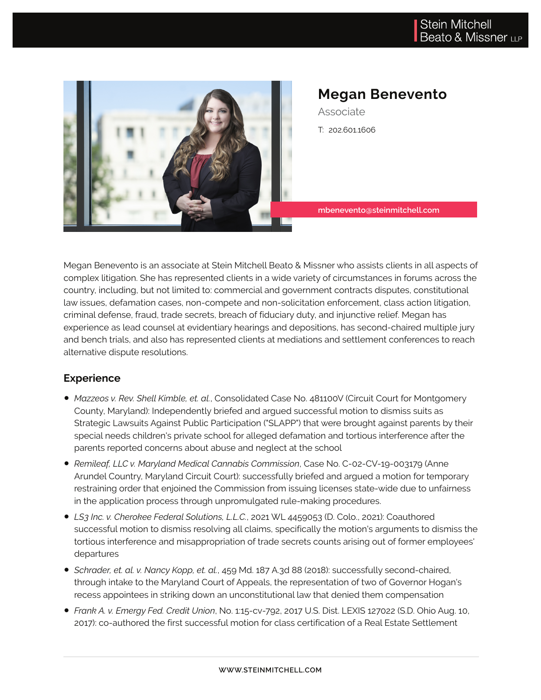

# **Megan Benevento**

Associate T: 202.601.1606

**mbenevento@steinmitchell.com**

Megan Benevento is an associate at Stein Mitchell Beato & Missner who assists clients in all aspects of complex litigation. She has represented clients in a wide variety of circumstances in forums across the country, including, but not limited to: commercial and government contracts disputes, constitutional law issues, defamation cases, non-compete and non-solicitation enforcement, class action litigation, criminal defense, fraud, trade secrets, breach of fiduciary duty, and injunctive relief. Megan has experience as lead counsel at evidentiary hearings and depositions, has second-chaired multiple jury and bench trials, and also has represented clients at mediations and settlement conferences to reach alternative dispute resolutions.

### **Experience**

- *Mazzeos v. Rev. Shell Kimble, et. al.*, Consolidated Case No. 481100V (Circuit Court for Montgomery County, Maryland): Independently briefed and argued successful motion to dismiss suits as Strategic Lawsuits Against Public Participation ("SLAPP") that were brought against parents by their special needs children's private school for alleged defamation and tortious interference after the parents reported concerns about abuse and neglect at the school
- *Remileaf, LLC v. Maryland Medical Cannabis Commission*, Case No. C-02-CV-19-003179 (Anne Arundel Country, Maryland Circuit Court): successfully briefed and argued a motion for temporary restraining order that enjoined the Commission from issuing licenses state-wide due to unfairness in the application process through unpromulgated rule-making procedures.
- *LS3 Inc. v. Cherokee Federal Solutions, L.L.C.*, 2021 WL 4459053 (D. Colo., 2021): Coauthored successful motion to dismiss resolving all claims, specifically the motion's arguments to dismiss the tortious interference and misappropriation of trade secrets counts arising out of former employees' departures
- *Schrader, et. al. v. Nancy Kopp, et. al.*, 459 Md. 187 A.3d 88 (2018): successfully second-chaired, through intake to the Maryland Court of Appeals, the representation of two of Governor Hogan's recess appointees in striking down an unconstitutional law that denied them compensation
- *Frank A. v. Emergy Fed. Credit Union*, No. 1:15-cv-792, 2017 U.S. Dist. LEXIS 127022 (S.D. Ohio Aug. 10, 2017): co-authored the first successful motion for class certification of a Real Estate Settlement